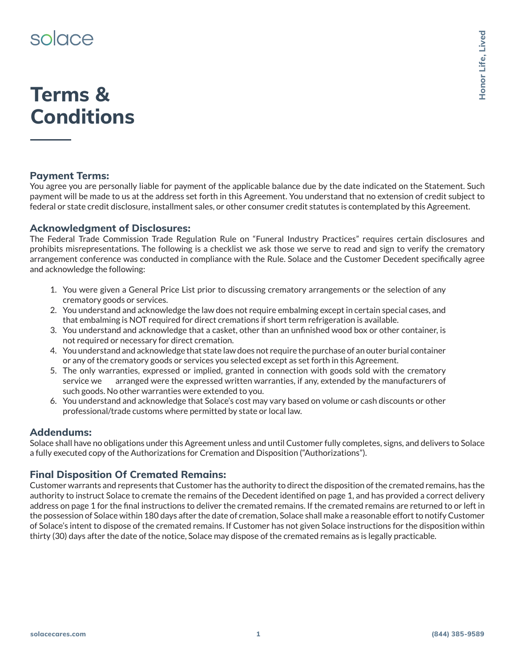# solace

# **Terms & Conditions**

## **Payment Terms:**

You agree you are personally liable for payment of the applicable balance due by the date indicated on the Statement. Such payment will be made to us at the address set forth in this Agreement. You understand that no extension of credit subject to federal or state credit disclosure, installment sales, or other consumer credit statutes is contemplated by this Agreement.

## **Acknowledgment of Disclosures:**

The Federal Trade Commission Trade Regulation Rule on "Funeral Industry Practices" requires certain disclosures and prohibits misrepresentations. The following is a checklist we ask those we serve to read and sign to verify the crematory arrangement conference was conducted in compliance with the Rule. Solace and the Customer Decedent specifically agree and acknowledge the following:

- 1. You were given a General Price List prior to discussing crematory arrangements or the selection of any crematory goods or services.
- 2. You understand and acknowledge the law does not require embalming except in certain special cases, and that embalming is NOT required for direct cremations if short term refrigeration is available.
- 3. You understand and acknowledge that a casket, other than an unfinished wood box or other container, is not required or necessary for direct cremation.
- 4. You understand and acknowledge that state law does not require the purchase of an outer burial container or any of the crematory goods or services you selected except as set forth in this Agreement.
- 5. The only warranties, expressed or implied, granted in connection with goods sold with the crematory service we arranged were the expressed written warranties, if any, extended by the manufacturers of such goods. No other warranties were extended to you.
- 6. You understand and acknowledge that Solace's cost may vary based on volume or cash discounts or other professional/trade customs where permitted by state or local law.

### **Addendums:**

Solace shall have no obligations under this Agreement unless and until Customer fully completes, signs, and delivers to Solace a fully executed copy of the Authorizations for Cremation and Disposition ("Authorizations").

## **Final Disposition Of Cremated Remains:**

Customer warrants and represents that Customer has the authority to direct the disposition of the cremated remains, has the authority to instruct Solace to cremate the remains of the Decedent identified on page 1, and has provided a correct delivery address on page 1 for the final instructions to deliver the cremated remains. If the cremated remains are returned to or left in the possession of Solace within 180 days after the date of cremation, Solace shall make a reasonable effort to notify Customer of Solace's intent to dispose of the cremated remains. If Customer has not given Solace instructions for the disposition within thirty (30) days after the date of the notice, Solace may dispose of the cremated remains as is legally practicable.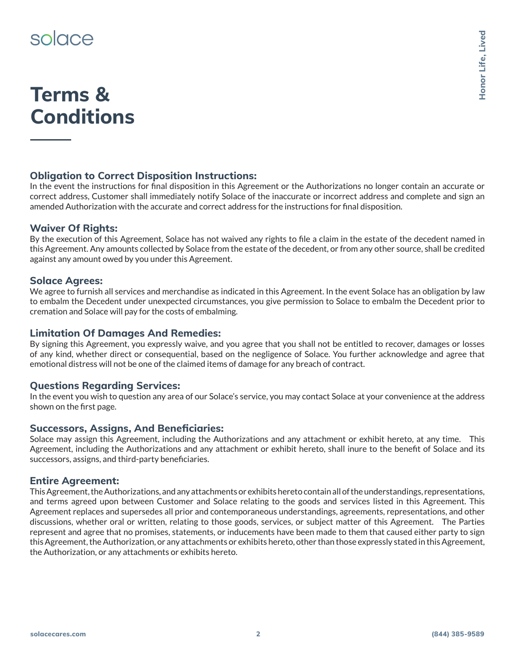# solace

# **Terms & Conditions**

## **Obligation to Correct Disposition Instructions:**

In the event the instructions for final disposition in this Agreement or the Authorizations no longer contain an accurate or correct address, Customer shall immediately notify Solace of the inaccurate or incorrect address and complete and sign an amended Authorization with the accurate and correct address for the instructions for final disposition.

### **Waiver Of Rights:**

By the execution of this Agreement, Solace has not waived any rights to file a claim in the estate of the decedent named in this Agreement. Any amounts collected by Solace from the estate of the decedent, or from any other source, shall be credited against any amount owed by you under this Agreement.

#### **Solace Agrees:**

We agree to furnish all services and merchandise as indicated in this Agreement. In the event Solace has an obligation by law to embalm the Decedent under unexpected circumstances, you give permission to Solace to embalm the Decedent prior to cremation and Solace will pay for the costs of embalming.

#### **Limitation Of Damages And Remedies:**

By signing this Agreement, you expressly waive, and you agree that you shall not be entitled to recover, damages or losses of any kind, whether direct or consequential, based on the negligence of Solace. You further acknowledge and agree that emotional distress will not be one of the claimed items of damage for any breach of contract.

#### **Questions Regarding Services:**

In the event you wish to question any area of our Solace's service, you may contact Solace at your convenience at the address shown on the first page.

### **Successors, Assigns, And Beneficiaries:**

Solace may assign this Agreement, including the Authorizations and any attachment or exhibit hereto, at any time. This Agreement, including the Authorizations and any attachment or exhibit hereto, shall inure to the benefit of Solace and its successors, assigns, and third-party beneficiaries.

#### **Entire Agreement:**

This Agreement, the Authorizations, and any attachments or exhibits hereto contain all of the understandings, representations, and terms agreed upon between Customer and Solace relating to the goods and services listed in this Agreement. This Agreement replaces and supersedes all prior and contemporaneous understandings, agreements, representations, and other discussions, whether oral or written, relating to those goods, services, or subject matter of this Agreement. The Parties represent and agree that no promises, statements, or inducements have been made to them that caused either party to sign this Agreement, the Authorization, or any attachments or exhibits hereto, other than those expressly stated in this Agreement, the Authorization, or any attachments or exhibits hereto.